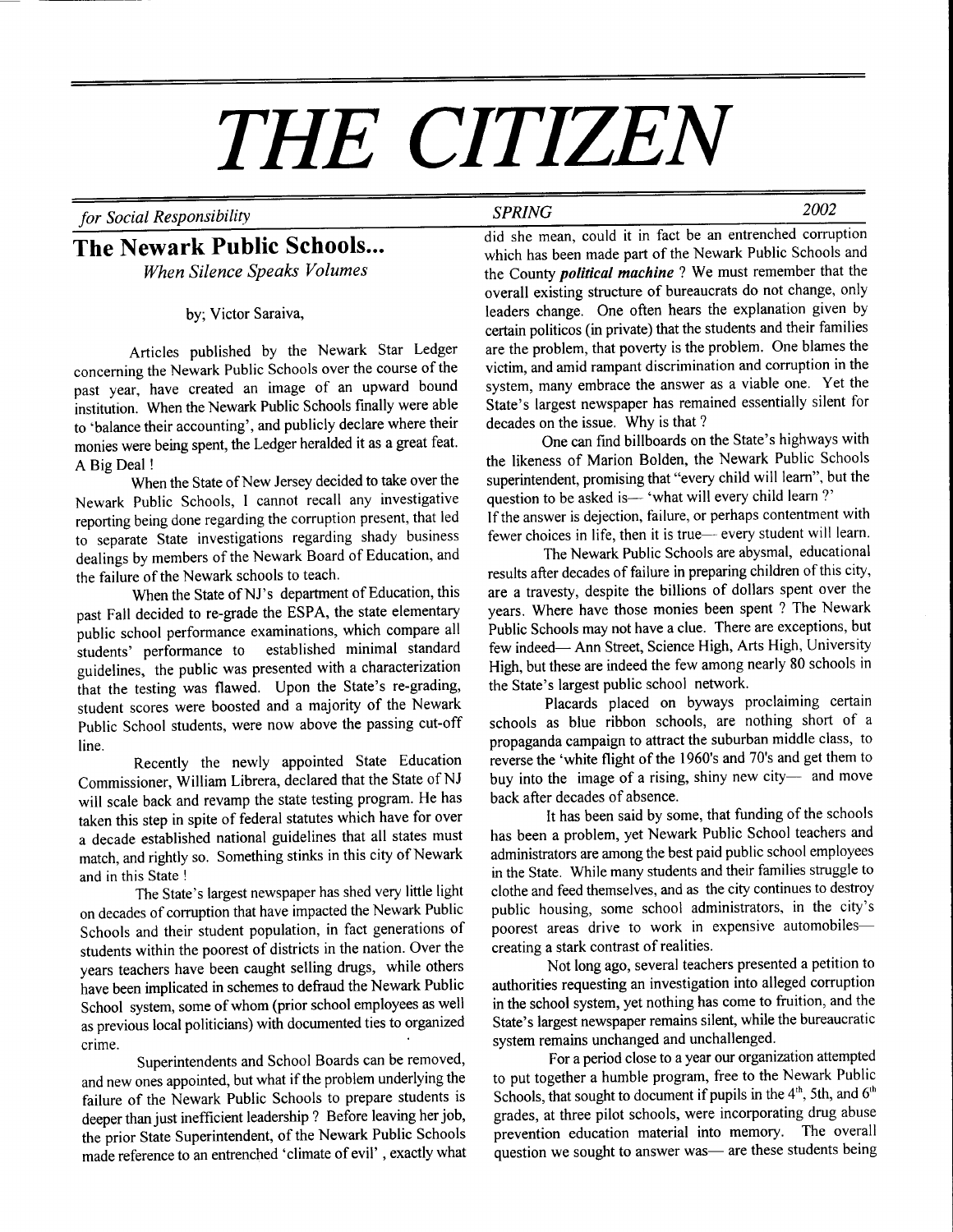# THE CITIZEN

For Social Responsibility 2002

## The Newark Public Schools...

When Silence Speaks Volumes

bY; Victor Saraiva,

Articles published by the Newark Star Ledger concerning the Newark Public Schools over the course of the past year, have created an image of an upward bound institution. When the Newark Public Schools finally were able to 'balance their accounting', and publicly declare where their monies were being spent, the Ledger heralded it as a great feat. A Big Deal !

When the State of New Jersey decided to take over the Newark Public Schools, I cannot recall any investigative reporting being done regarding the corruption present, that led to separate State investigations regarding shady business dealings by members of the Newark Board of Education, and the failure of the Newark schools to teach.

When the State of NJ's department of Education, this past Fall decided to re-grade the ESPA, the state elementary public school performance examinations, which compare all students' performance to established minimal standard guidelines, the public was presented with a characterization that the testing was flawed, Upon the State's re-grading, student scores were boosted and a majority of the Newark Public School students, were now above the passing cut-off line.

Recently the newly appointed State Education Commissioner, William Librera, declared that the State of NJ will scale back and revamp the state testing program. He has taken this step in spite of federal statutes which have for over a decade established national guidelines that all states must match, and rightly so. Something stinks in this city of Newark and in this State !

The State's largest newspaper has shed very little light on decades of comrption that have impacted the Newark Public Schools and their student population, in fact generations of students within the poorest of districts in the nation. Over the years teachers have been caught selling drugs, while others have been implicated in schemes to defraud the Newark Public School system, some of whom (prior school employees as well as previous local politicians) with documented ties to organized crime.

Superintendents and School Boards can be removed, and new ones appointed, but what if the problem underlying the failure of the Newark Public Schools to prepare students is deeper than just inefficient leadership ? Before leaving her job, the prior State Superintendent, of the Newark Public Schools made reference to an entrenched 'climate of evil' , exactly what did she mean, could it in fact be an entrenched corruption which has been made part of the Newark Public Schools and the County *political machine* ? We must remember that the overall existing structure of bureaucrats do not change, only leaders change. One often hears the explanation given by certain politicos (in private) that the students and their families are the problem, that poverty is the problem. One blames the victim, and amid rampant discrimination and corruption in the system, many embrace the answer as a viable one. Yet the State's largest newspaper has remained essentially silent for decades on the issue. Why is that ?

One can find billboards on the State's highways with the likeness of Marion Bolden, the Newark Public Schools superintendent, promising that "every child will leam", but the question to be asked is-'what will every child learn?' lf the answer is dejection, failure, or perhaps contentment with fewer choices in life, then it is true- every student will learn.

The Newark Public Schools are abysmal, educational results after decades of failure in preparing children of this city, are a travesty, despite the billions of dollars spent over the years. Where have those monies been spent ? The Newark Public Schools may not have a clue. There are exceptions, but few indeed- Ann Street, Science High, Arts High, University High, but these are indeed the few among nearly 80 schools in the State's largest public school network.

Placards placed on byways proclaiming certain schools as blue ribbon schools, are nothing short of a propaganda campaign to attract the suburban middle class, to reverse the 'white flight of the 1960's and 70's and get them to buy into the image of a rising, shiny new city- and move back after decades of absence.

It has been said by some, that funding of the schools has been a problem, yet Newark Public School teachers and administrators are among the best paid public school employees in the State. While many students and their families struggle to clothe and feed themselves, and as the city continues to destroy public housing, some school administrators, in the city's poorest areas drive to work in expensive automobilescreating a stark contrast of realities.

Not long ago, several teachers presented a petition to authorities requesting an investigation into alleged corruption in the school system, yet nothing has come to fruition, and the State's largest newspaper remains silent, while the bureaucratic system remains unchanged and unchallenged.

For a period close to a year our organization attempted to put together a humble program, free to the Newark Public Schools, that sought to document if pupils in the 4<sup>th</sup>, 5th, and 6<sup>th</sup> grades, at three pilot schools, were incorporating drug abuse prevention education material into memory. The overall question we sought to answer was— are these students being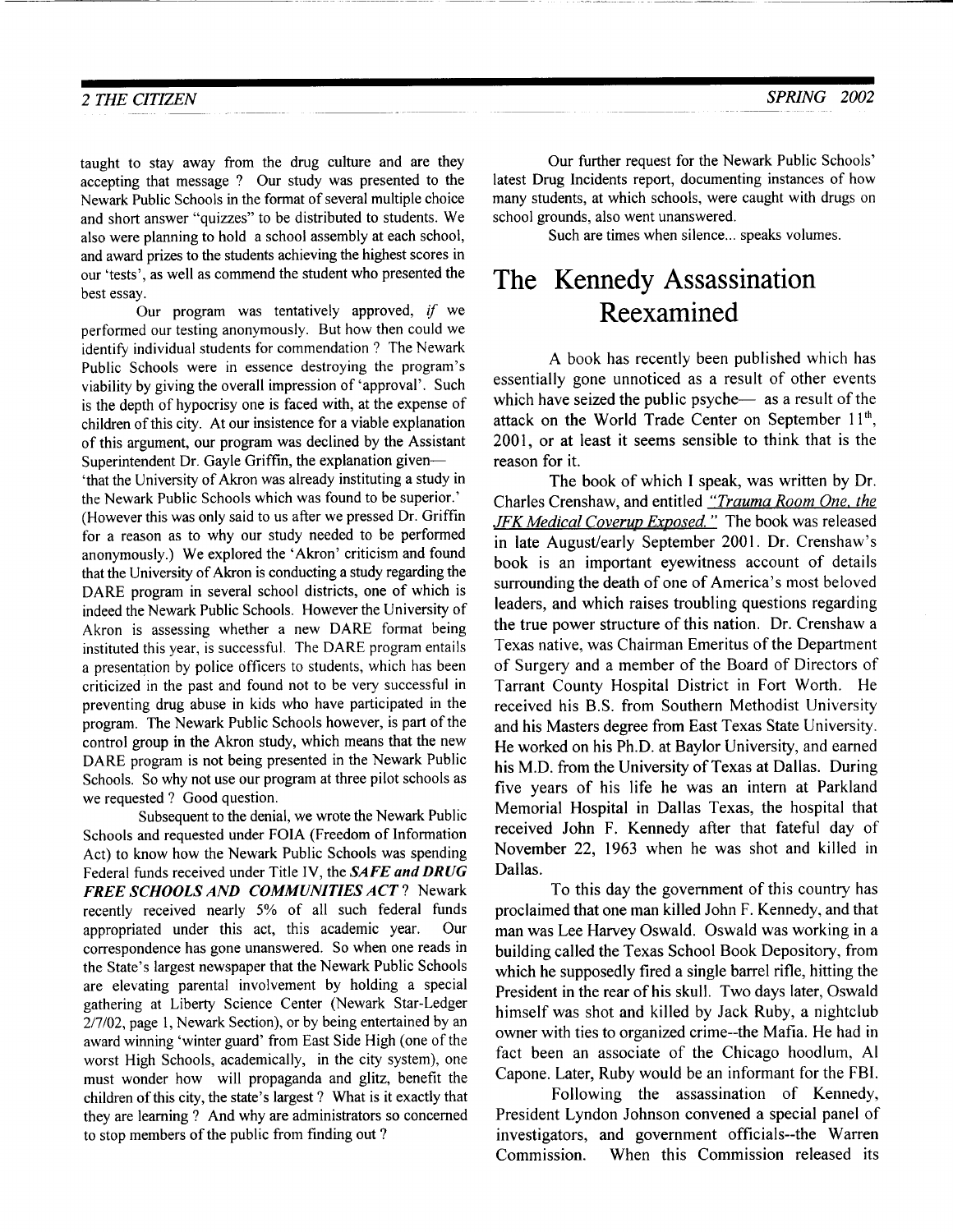taught to stay away from the drug culture and are they accepting that message ? Our study was presented to the Newark Public Schools in the format of several multiple choice and short answer "quizzes" to be distributed to students. We also were planning to hold a school assembly at each school, and award prizes to the students achieving the highest scores in our 'tests', as well as commend the student who presented the best essay.

Our program was tentatively approved, if we performed our testing anonymously. But how then could we identify individual students for commendation ? The Newark Public Schools were in essence destroying the program's viability by giving the overall impression of 'approval'. Such is the depth of hypocrisy one is faced with, at the expense of children of this city. At our insistence for a viable explanation of this argument, our program was declined by the Assistant Superintendent Dr. Gayle Griffin, the explanation given-

'that the University of Akron was already instituting a study in the Newark Public Schools which was found to be superior.' (However this was only said to us after we pressed Dr. Griffin for a reason as to why our study needed to be performed anonymously.) We explored the 'Akron' criticism and found that the University of Akron is conducting a study regarding the DARE program in several school districts, one of which is indeed the Newark Public Schools. However the University of Akron is assessing whether a new DARE format being instituted this year, is successful. The DARE program entails a presentation by police officers to students, which has been criticized in the past and found not to be very successful in preventing drug abuse in kids who have participated in the program. The Newark Public Schools however, is part of the control group in the Akron study, which means that the new DARE program is not being presented in the Newark Public Schools. So why not use our program at three pilot schools as we requested ? Good question.

Subsequent to the denial, we wrote the Newark Public Schools and requested under FOIA (Freedom of lnformation Act) to know how the Newark Public Schools was spending Federal funds received under Title IV, the SAFE and DRUG FREE SCHOOLS AND COMMUNITIES ACT? Newark recently received nearly 5% of all such federal funds appropriated under this act, this academic year. Our correspondence has gone unanswered. So when one reads in the State's largest newspaper that the Newark Public Schools are elevating parental involvement by holding a special gathering at Liberty Science Center (Newark Star-Ledger 217102, page 1, Newark Section), or by being entertained by an award winning 'winter guard' from East Side High (one of the worst High Schools, academically, in the city system), one must wonder how will propaganda and glitz, benefit the children of this city, the state's largest ? What is it exactly that they are leaming ? And why are administrators so concerned to stop members of the public from finding out ?

Our further request for the Newark Public Schools' latest Drug Incidents report, documenting instances of how many students, at which schools, were caught with drugs on school grounds, also went unanswered.

Such are times when silence... speaks volumes.

# The Kennedy Assassination Reexamined

A book has recently been published which has essentially gone unnoticed as a result of other events which have seized the public psyche $-$  as a result of the attack on the World Trade Center on September 11<sup>th</sup>, 2001, or at least it seems sensible to think that is the reason for it.

The book of which I speak, was written by Dr. Charles Crenshaw, and entitled "Trauma Room One. the JFK Medical Coverup Exposed." The book was released in late August/early September 2001. Dr. Crenshaw's book is an important eyewitness account of details surrounding the death of one of America's most beloved leaders, and which raises troubling questions regarding the true power structure of this nation. Dr. Crenshaw a Texas native, was Chairman Emeritus of the Department of Surgery and a member of the Board of Directors of Tarrant County Hospital District in Fort Worth. He received his B.S. from Southern Methodist University and his Masters degree from East Texas State University. He worked on his Ph.D. at Baylor University, and earned his M.D. from the University of Texas at Dallas. During five years of his life he was an intern at Parkland Memorial Hospital in Dallas Texas, the hospital that received John F. Kennedy after that fateful day of November 22, 1963 when he was shot and killed in Dallas.

To this day the government of this country has proclaimed that one man killed John F. Kennedy, and that man was Lee Harvey Oswald. Oswald was working in a building called the Texas School Book Depository, from which he supposedly fired a single barrel rifle, hitting the President in the rear of his skull. Two days later, Oswald himself was shot and killed by Jack Ruby, a nightclub owner with ties to organized crime--the Mafia. He had in fact been an associate of the Chicago hoodlum, Al Capone. Later, Ruby would be an informant for the FBI.

Following the assassination of Kennedy, President Lyndon Johnson convened a special panel of investigators, and government officials-the Warren Commission. When this Commission released its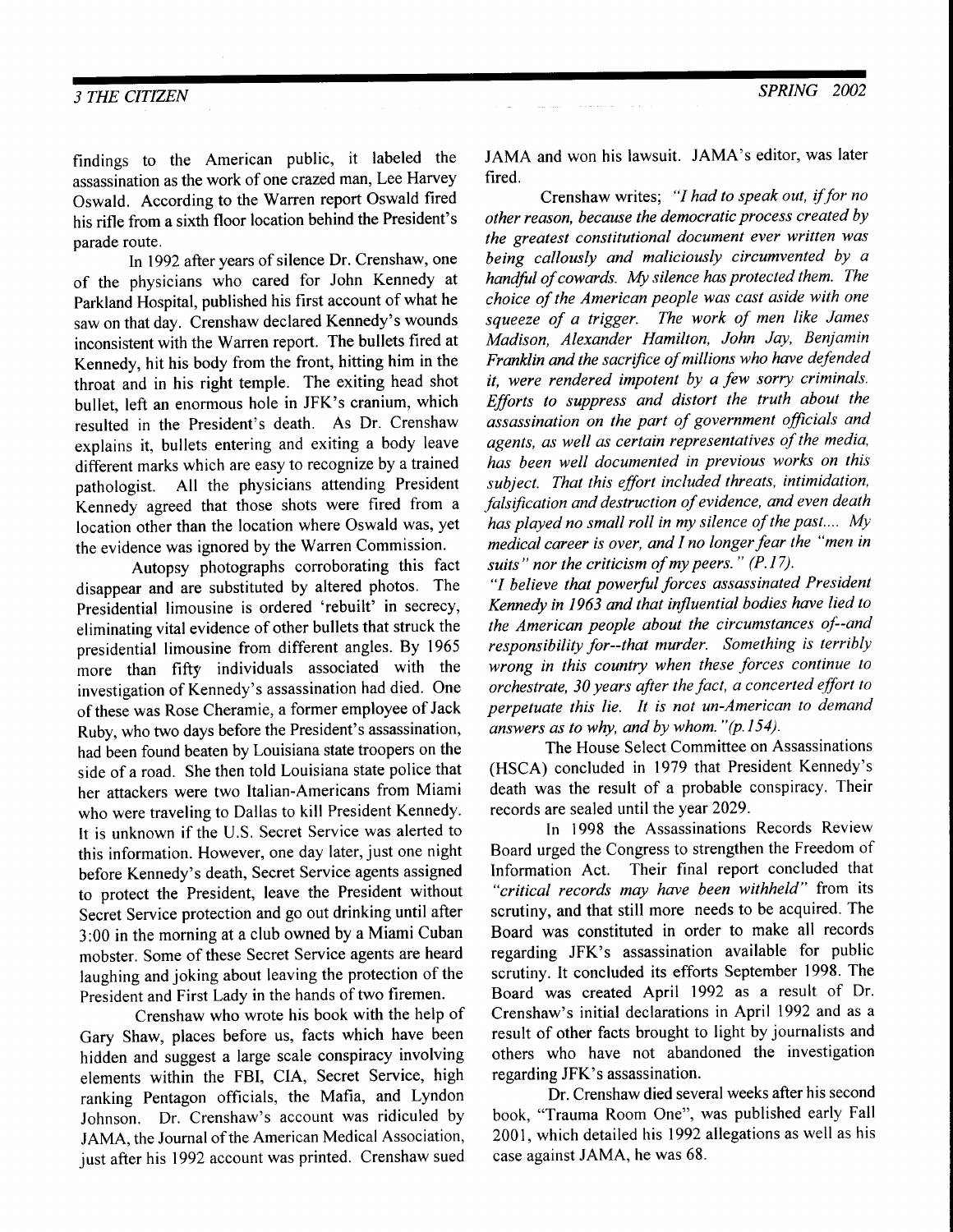#### **3 THE CITIZEN**

findings to the American public, it labeled the assassination as the work of one crazed man, Lee Harvey Oswald. According to the Warren report Oswald fired his rifle from a sixth floor location behind the President's parade route.

In 1992 after years of silence Dr. Crenshaw, one of the physicians who cared for John Kennedy at Parkland Hospital, published his first account of what he saw on that day. Crenshaw declared Kennedy's wounds inconsistent with the Warren report. The bullets fired at Kennedy, hit his body from the front, hitting him in the throat and in his right temple. The exiting head shot bullet, left an enormous hole in JFK's cranium, which resulted in the President's death. As Dr. Crenshaw explains it, bullets entering and exiting a body leave different marks which are easy to recognize by a trained pathologist. All the physicians attending President Kennedy agreed that those shots were fired from a location other than the location where Oswald was, yet the evidence was ignored by the Warren Commission.

Autopsy photographs corroborating this fact disappear and are substituted by altered photos. The Presidential limousine is ordered 'rebuilt' in secrecy, eliminating vital evidence of other bullets that struck the presidential limousine from different angles. By 1965 more than fifty individuals associated with the investigation of Kennedy's assassination had died. One of these was Rose Cheramie, a former employee of Jack Ruby, who two days before the President's assassination, had been found beaten by Louisiana state troopers on the side of a road. She then told Louisiana state police that her attackers were two Italian-Americans from Miami who were traveling to Dallas to kill President Kennedy. It is unknown if the U.S. Secret Service was alerted to this information. However, one day later, just one night before Kennedy's death, Secret Service agents assigned to protect the President, leave the President without Secret Service protection and go out drinking until after 3:00 in the morning at a club owned by a Miami Cuban mobster. Some of these Secret Service agents are heard laughing and joking about leaving the protection of the President and First Lady in the hands of two firemen.

Crenshaw who wrote his book with the help of Gary Shaw, places before us, facts which have been hidden and suggest a large scale conspiracy involving elements within the FBI, CIA, Secret Service, high ranking Pentagon officials, the Mafia, and Lyndon Johnson. Dr. Crenshaw's account was ridiculed by JAMA, the Journal of the American Medical Association, just after his 1992 account was printed. Crenshaw sued

JAMA and won his lawsuit. JAMA's editor, was laterfired,

Crenshaw writes; "I had to speak out, if for no other reason, because the democratic process created by the greatest constitutional document ever written was being callously and maliciously circumvented by a handful of cowards. My silence has protected them. The choice of the American people was cast aside with one squeeze of a trigger. The work of men like James Madison, Alexander Hamilton, John Jay, Beniamin Franklin and the sacrifice of millions who have defended it, were rendered impotent by a few sorry criminals. Efforts to suppress and distort the truth about the assassination on the part of government officials and agents, as well as certain representatives of the media, has been well documented in previous works on this subject. That this effort included threats, intimidation, falsification and destruction of evidence, and even death has played no small roll in my silence of the past.... My medical career is over, and I no longer fear the "men in suits" nor the criticism of my peers."  $(P.17)$ .

"I believe that powerful forces assassinated President Kennedy in 1963 and that influential bodies have lied to the American people about the circumstances of--and responsibility for-that murder. Something is terribly wrong in this country when these forces continue to orchestrate, 30 years after the fact, a concerted effort to perpetuqte this lie. It is not un-American to demand answers as to why, and by whom. " $(p.154)$ .

The House Select Committee on Assassinations (HSCA) concluded in 1979 that President Kennedy's death was the result of a probable conspiracy. Their records are sealed until the year 2029.

In 1998 the Assassinations Records Review Board urged the Congress to strengthen the Freedom of Information Act. Their final report concluded that "critical records may have been withheld" from its scrutiny, and that still more needs to be acquired. The Board was constituted in order to make all records regarding JFK's assassination available for public scrutiny. It concluded its efforts September 1998. The Board was created April 1992 as a result of Dr. Crenshaw's initial declarations in April 1992 and as a result of other facts brought to light by journalists and others who have not abandoned the investigation regarding JFK's assassination.

Dr. Crenshaw died several weeks after his second book, "Trauma Room One", was published early Fall 2001, which detailed his 1992 allegations as well as his case against JAMA, he was 68.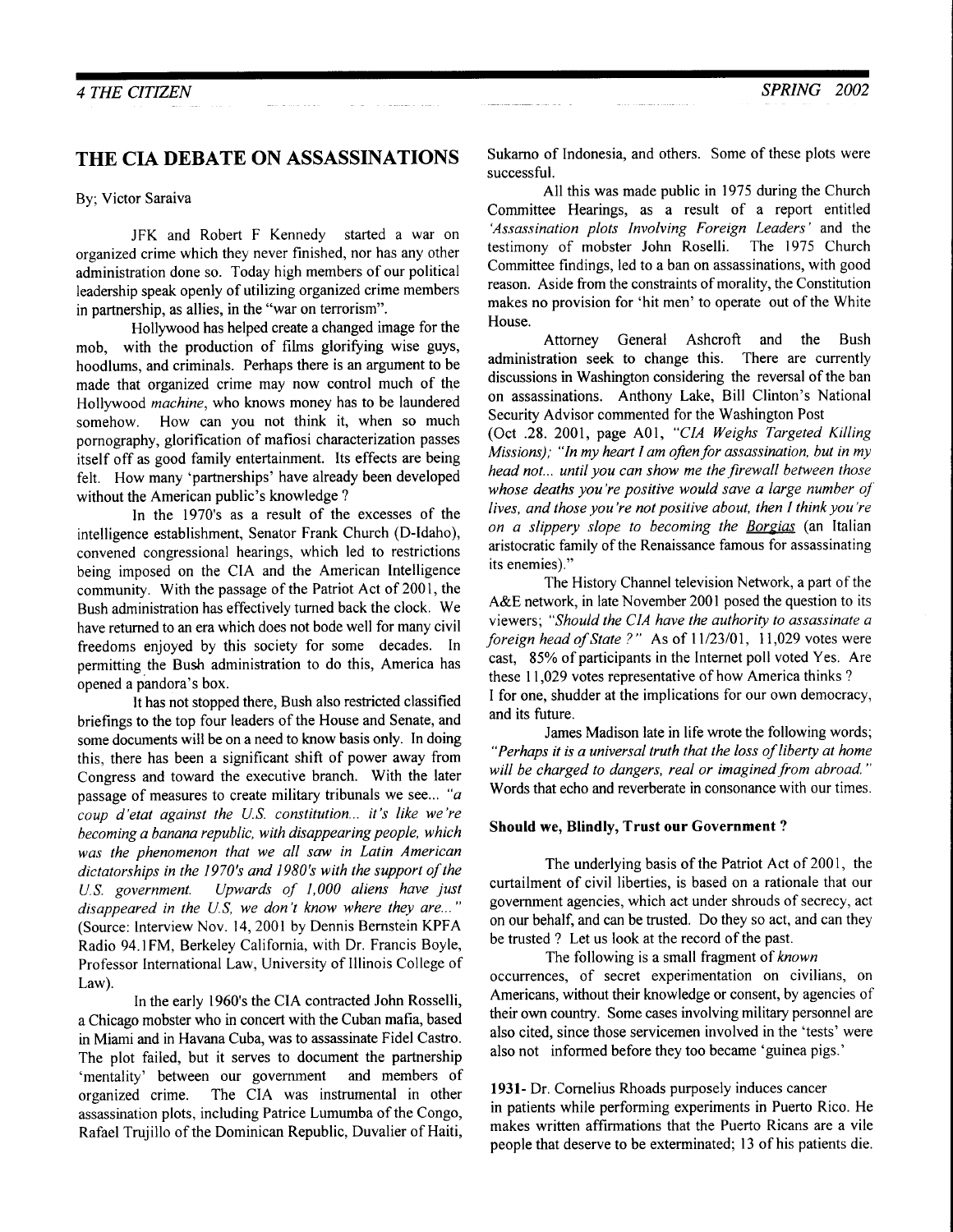#### THE CIA DEBATE ON ASSASSINATIONS

#### By; Victor Saraiva

JFK and Robert F Kennedy started a war on organized crime which they never finished, nor has any other administration done so. Today high members of our political leadership speak openly of utilizing organized crime members in partnership, as allies, in the "war on terrorism".

Hollywood has helped create a changed image for the mob, with the production of films glorifying wise guys, hoodlums, and criminals. Perhaps there is an argument to be made that organized crime may now control much of the Hollywood machine, who knows money has to be laundered somehow. How can you not think it, when so much pornography, glorification of mafiosi characterization passes itself off as good family entertainment. Its effects are being felt. How many 'partnerships' have already been developed without the American public's knowledge ?

In the 1970's as a result of the excesses of the intelligence establishment, Senator Frank Church (D-ldaho), convened congressional hearings, which led to restrictions being imposed on the CIA and the American Intelligence communify. With the passage of the Patriot Act of 2001, the Bush administration has effectively turned back the clock. We have retumed to an era which does not bode well for many civil freedoms enjoyed by this society for some decades. In permitting the Bush administration to do this, America has opened a pandora's box.

It has not stopped there, Bush also restricted classified briefings to the top four leaders of the House and Senate, and some documents will be on a need to know basis only. In doing this, there has been a significant shift of power away from Congress and toward the executive branch. With the later passage of measures to create military tribunals we see... "a coup d'etat against the U.S. constitution... it's like we're becoming a banana republic, with disappearing people, which was the phenomenon that we all saw in Latin American dictatorships in the 1970's and 1980's with the support of the U.S. government. Upwards of 1,000 aliens have just disappeared in the U.S, we don't know where they are..." (Source: lnterview Nov. 14, 2001 by Dennis Bernstein KPFA Radio 94.lFM, Berkeley California, with Dr. Francis Boyle, Professor Intemational Law, University of Illinois College of Law).

In the early 1960's the CIA contracted John Rosselli, a Chicago mobster who in concert with the Cuban mafia, based in Miami and in Havana Cuba. was to assassinate Fidel Castro. The plot failed, but it serves to document the partnership 'mentality' between our government and members of organized crime. The CIA was instrumental in other assassination plots, including Patrice Lumumba of the Congo, Rafael Trujillo of the Dominican Republic, Duvalier of Haiti,

Sukamo of Indonesia, and others. Some of these plots were successful.

All this was made public in 1975 during the Church Committee Hearings, as a result of a report entitled 'Assassination plots Involving Foreign Leaders' and the testimony of mobster John Roselli. The 1975 Church Committee findings, led to a ban on assassinations, with good reason. Aside from the constraints of morality, the Constitution makes no provision for 'hit men' to operate out of the White House.

Attomey General Ashcroft and the Bush administration seek to change this. There are currently discussions in Washington considering the reversal of the ban on assassinations. Anthony Lake, Bill Clinton's National Security Advisor commented for the Washington Post

(Oct .28. 2001, page A01, "CIA Weighs Targeted Killing Missions); "In my heart  $I$  am often for assassination, but in my head not... until you can show me the firewall between those whose deaths you're positive would save a large number of lives, and those you're not positive about, then I think you're on a slippery slope to becoming the Borgias (an Italian aristocratic family of the Renaissance famous for assassinating its enemies)."

The History Channel television Network, a part of the A&E network, in late November 2001 posed the question to its viewers; "Should the CIA have the authority to assassinate a foreign head of State ?" As of 11/23/01, 11,029 votes were cast, 85% of participants in the Internet poll voted Yes. Are these 11,029 votes representative of how America thinks ? I for one, shudder at the implications for our own democracy, and its future.

James Madison late in life wrote the following words; "Perhaps it is a universal truth that the loss of liberty at home will be charged to dangers, real or imagined from abroad." Words that echo and reverberate in consonance with our times.

#### Should we, Blindly, Trust our Government ?

The underlying basis of the Patriot Act of 2001, the curtailment of civil liberties, is based on a rationale that our government agencies, which act under shrouds of secrecy, act on our behalf, and can be trusted. Do they so act, and can they be trusted ? Let us look at the record of the past.

The following is a small fragment of known occurrences, of secret experimentation on civilians, on Americans, without their knowledge or consent, by agencies of their own country. Some cases involving military personnel are also cited. since those servicemen involved in the 'tests' were also not informed before they too became 'guinea pigs.'

1931- Dr. Comelius Rhoads purposely induces cancer in patients while performing experiments in Puerto Rico. He makes written affirmations that the Puerto Ricans are a vile people that deserve to be exterminated; l3 of his patients die.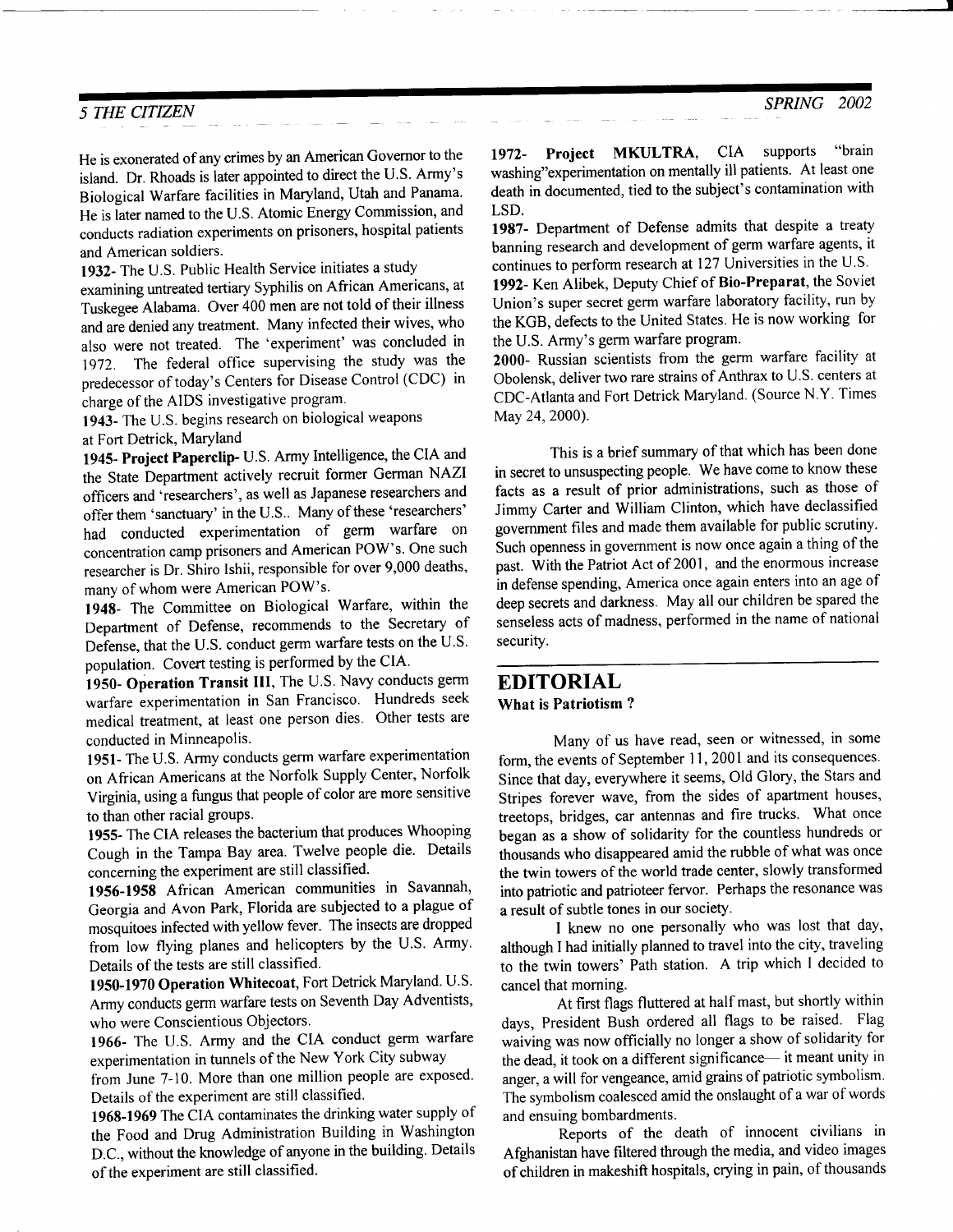I

#### 5 THE CITIZEN

He is exonerated of any crimes by an American Governor to the island. Dr. Rhoads is later appointed to direct the U.S. Army's Biological Warfare facilities in Maryland, Utah and Panama' He is iater named to the U.S. Atomic Energy Commission, and conducts radiation experiments on prisoners, hospital patients and American soldiers.

1932- The U.S. Public Health Service initiates a study

examining untreated tertiary Syphilis on African Americans, at Tuskegee Alabama. Over 400 men are not told of their illness and are denied any treatment. Many infected their wives, who also were not treated. The 'experiment' was concluded in 1972. The federal office supervising the study was the predecessor of today's Centers for Disease Control (CDC) in charge of the AIDS investigative program.

1943- The U.S. begins research on biological weapons at Fort Detrick, Maryland

1945- Project Paperclip- U.S. Army Intelligence, the CIA and the State Department actively recruit former German NAZI officers and 'researchers', as well as Japanese researchers and offer them 'sanctuary' in the U.S.. Many of these 'researchers' had conducted experimentation of germ warfare on concentration camp prisoners and American POW's. One such researcher is Dr. Shiro Ishii, responsible for over 9,000 deaths, many of whom were American POW's.

1948- The Committee on Biological Warfare, within the Department of Defense, recommends to the Secretary of Defense, that the U.S. conduct germ warfare tests on the U.S. population. Covert testing is performed by the CIA.

1950- Operation Transit III, The U.S. Navy conducts germ warfare experimentation in San Francisco. Hundreds seek medical treatment, at least one person dies. Other tests are conducted in Minneapolis.

1951- The U.S. Army conducts germ warfare experimentation on African Americans at the Norfolk Supply Center, Norfolk Virginia, using a fungus that people of color are more sensitive to than other racial groups.

1955- The CIA releases the bacterium that produces Whooping Cough in the Tampa Bay area. Twelve people die. Details concerning the experiment are still classified.

1956-1958 African American communities in Savannah, Georgia and Avon Park, Florida are subjected to a plague of mosquitoes infected with yellow fever. The insects are dropped from low flying planes and helicopters by the U.S. Army. Details of the tests are still classified.

1950-1970 Operation Whitecoat, Fort Detrick Maryland. U.S. Army conducts germ warfare tests on Seventh Day Adventists, who were Conscientious Objectors.

1966- The U.S. Army and the CIA conduct germ warfare experimentation in tunnels of the New York City subway

from June 7-10. More than one million people are exposed. Details of the experiment are still classified.

1968-1969 The CIA contaminates the drinking water supply of the Food and Drug Administration Building in Washinglon D.C., without the knowledge of anyone in the building. Details of the experiment are still classified.

1972- Project MKULTRA, CIA supports "brain washing"experimentation on mentally ill patients. At least one death in documented, tied to the subject's contamination with LSD.

1987- Department of Defense admits that despite a treaty banning research and development of germ warfare agents, it continues to perform research at 127 Universities in the U.S.

1992- Ken Alibek, Deputy Chief of Bio-Preparat, the Soviet Union's super secret germ warfare laboratory facility, run by the KGB, defects to the United States. He is now working for the U.S. Army's germ warfare program.

2000- Russian scientists from the germ warfare facility at Obolensk, deliver two rare strains of Anthrax to U.S. centers at CDC-Atlanta and Fort Detrick Maryland. (Source N.Y. Times May 24,2000).

This is a brief summary of that which has been done in secret to unsuspecting people. We have come to know these facts as a result of prior administrations, such as those of Jimmy Carter and William Clinton, which have declassified government files and made them available for public scrutiny' Such openness in govemment is now once again a thing of the past. With the Patriot Act of 2001, and the enormous increase in defense spending, America once again enters into an age of deep secrets and darkness. May all our children be spared the senseless acts of madness, performed in the name of national security.

#### EDITORIAL What is Patriotism ?

Many of us have read, seen or witnessed, in some form, the events of September 11, 2001 and its consequences. Since that day, everywhere it seems, Old Glory, the Stars and Stripes forever wave, from the sides of apartment houses, treetops, bridges, car antennas and fire trucks. What once began as a show of solidarity for the countless hundreds or thousands who disappeared amid the rubble of what was once the twin towers of the world trade center, slowly transformed into patriotic and patrioteer fervor. Perhaps the resonance was a result of subtle tones in our society.

I knew no one personally who was lost that day, although I had initially planned to travel into the city, traveling to the twin towers' Path station. A trip which I decided to cancel that morning.

At first flags fluttered at half mast, but shortly within days, President Bush ordered all flags to be raised. Flag waiving was now officially no longer a show of solidarity for the dead, it took on a different significance- it meant unity in anger, a will for vengeance, amid grains of patriotic symbolism. The symbolism coalesced amid the onslaught of a war of words and ensuing bombardments.

Reports of the death of innocent civilians in Afghanistan have filtered through the media, and video images of children in makeshift hospitals, crying in pain, of thousands